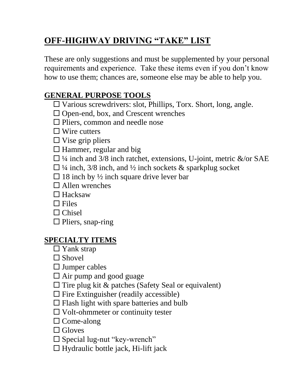# **OFF-HIGHWAY DRIVING "TAKE" LIST**

These are only suggestions and must be supplemented by your personal requirements and experience. Take these items even if you don't know how to use them; chances are, someone else may be able to help you.

# **GENERAL PURPOSE TOOLS**

Various screwdrivers: slot, Phillips, Torx. Short, long, angle.

 $\Box$  Open-end, box, and Crescent wrenches

 $\Box$  Pliers, common and needle nose

 $\Box$  Wire cutters

 $\Box$  Vise grip pliers

 $\Box$  Hammer, regular and big

 $\Box$  ¼ inch and 3/8 inch ratchet, extensions, U-joint, metric &/or SAE

 $\Box$  ¼ inch, 3/8 inch, and ½ inch sockets & sparkplug socket

 $\Box$  18 inch by  $\frac{1}{2}$  inch square drive lever bar

Allen wrenches

 $\Box$  Hacksaw

 $\Box$  Files

 $\Box$  Chisel

 $\Box$  Pliers, snap-ring

## **SPECIALTY ITEMS**

 $\Box$  Yank strap

 $\Box$  Shovel

 $\square$  Jumper cables

 $\Box$  Air pump and good guage

 $\square$  Tire plug kit & patches (Safety Seal or equivalent)

 $\Box$  Fire Extinguisher (readily accessible)

 $\Box$  Flash light with spare batteries and bulb

 $\Box$  Volt-ohmmeter or continuity tester

 $\Box$  Come-along

 $\Box$  Gloves

 $\square$  Special lug-nut "key-wrench"

 $\Box$  Hydraulic bottle jack, Hi-lift jack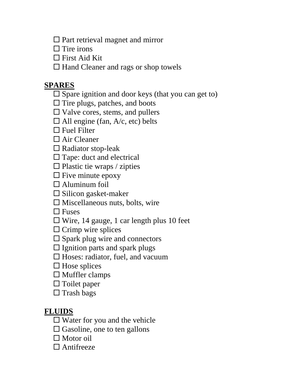$\square$  Part retrieval magnet and mirror

 $\Box$  Tire irons

 $\Box$  First Aid Kit

 $\Box$  Hand Cleaner and rags or shop towels

#### **SPARES**

 $\square$  Spare ignition and door keys (that you can get to)

 $\Box$  Tire plugs, patches, and boots

 $\Box$  Valve cores, stems, and pullers

 $\Box$  All engine (fan, A/c, etc) belts

 $\Box$  Fuel Filter

□ Air Cleaner

 $\square$  Radiator stop-leak

 $\square$  Tape: duct and electrical

 $\square$  Plastic tie wraps / zipties

 $\Box$  Five minute epoxy

 $\Box$  Aluminum foil

 $\square$  Silicon gasket-maker

 $\square$  Miscellaneous nuts, bolts, wire

 $\Box$  Fuses

 $\Box$  Wire, 14 gauge, 1 car length plus 10 feet

 $\Box$  Crimp wire splices

 $\square$  Spark plug wire and connectors

 $\square$  Ignition parts and spark plugs

 $\square$  Hoses: radiator, fuel, and vacuum

 $\square$  Hose splices

 $\square$  Muffler clamps

 $\Box$  Toilet paper

 $\square$  Trash bags

## **FLUIDS**

 $\Box$  Water for you and the vehicle

 $\square$  Gasoline, one to ten gallons

 $\Box$  Motor oil

 $\Box$  Antifreeze